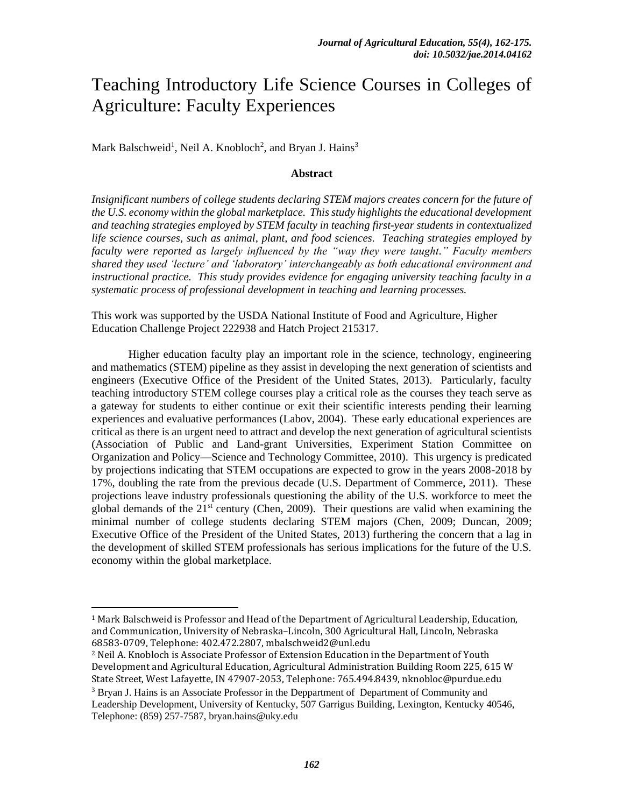# Teaching Introductory Life Science Courses in Colleges of Agriculture: Faculty Experiences

Mark Balschweid<sup>1</sup>, Neil A. Knobloch<sup>2</sup>, and Bryan J. Hains<sup>3</sup>

# **Abstract**

*Insignificant numbers of college students declaring STEM majors creates concern for the future of the U.S. economy within the global marketplace. This study highlights the educational development and teaching strategies employed by STEM faculty in teaching first-year students in contextualized life science courses, such as animal, plant, and food sciences. Teaching strategies employed by faculty were reported as largely influenced by the "way they were taught." Faculty members shared they used 'lecture' and 'laboratory' interchangeably as both educational environment and instructional practice. This study provides evidence for engaging university teaching faculty in a systematic process of professional development in teaching and learning processes.*

This work was supported by the USDA National Institute of Food and Agriculture, Higher Education Challenge Project 222938 and Hatch Project 215317.

Higher education faculty play an important role in the science, technology, engineering and mathematics (STEM) pipeline as they assist in developing the next generation of scientists and engineers (Executive Office of the President of the United States, 2013). Particularly, faculty teaching introductory STEM college courses play a critical role as the courses they teach serve as a gateway for students to either continue or exit their scientific interests pending their learning experiences and evaluative performances (Labov, 2004). These early educational experiences are critical as there is an urgent need to attract and develop the next generation of agricultural scientists (Association of Public and Land-grant Universities, Experiment Station Committee on Organization and Policy—Science and Technology Committee, 2010). This urgency is predicated by projections indicating that STEM occupations are expected to grow in the years 2008-2018 by 17%, doubling the rate from the previous decade (U.S. Department of Commerce, 2011). These projections leave industry professionals questioning the ability of the U.S. workforce to meet the global demands of the  $21<sup>st</sup>$  century (Chen, 2009). Their questions are valid when examining the minimal number of college students declaring STEM majors (Chen, 2009; Duncan, 2009; Executive Office of the President of the United States, 2013) furthering the concern that a lag in the development of skilled STEM professionals has serious implications for the future of the U.S. economy within the global marketplace.

l

<sup>1</sup> Mark Balschweid is Professor and Head of the Department of Agricultural Leadership, Education, and Communication, University of Nebraska–Lincoln, 300 Agricultural Hall, Lincoln, Nebraska 68583-0709, Telephone: 402.472.2807, mbalschweid2@unl.edu

<sup>2</sup> Neil A. Knobloch is Associate Professor of Extension Education in the Department of Youth Development and Agricultural Education, Agricultural Administration Building Room 225, 615 W State Street, West Lafayette, IN 47907-2053, Telephone: 765.494.8439, nknobloc@purdue.edu

<sup>&</sup>lt;sup>3</sup> Bryan J. Hains is an Associate Professor in the Deppartment of Department of Community and Leadership Development, University of Kentucky, 507 Garrigus Building, Lexington, Kentucky 40546, Telephone: (859) 257-7587, bryan.hains@uky.edu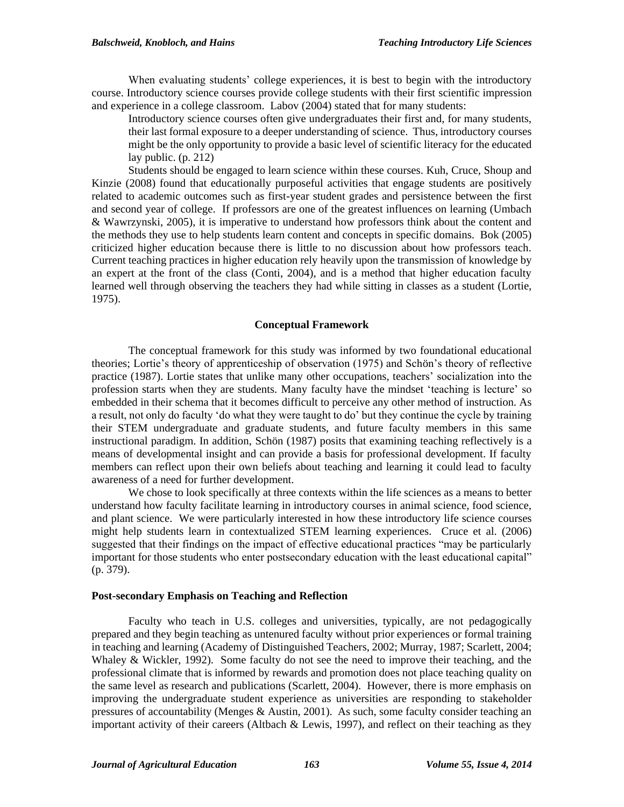When evaluating students' college experiences, it is best to begin with the introductory course. Introductory science courses provide college students with their first scientific impression and experience in a college classroom. Labov (2004) stated that for many students:

Introductory science courses often give undergraduates their first and, for many students, their last formal exposure to a deeper understanding of science. Thus, introductory courses might be the only opportunity to provide a basic level of scientific literacy for the educated lay public. (p. 212)

Students should be engaged to learn science within these courses. Kuh, Cruce, Shoup and Kinzie (2008) found that educationally purposeful activities that engage students are positively related to academic outcomes such as first-year student grades and persistence between the first and second year of college. If professors are one of the greatest influences on learning (Umbach & Wawrzynski, 2005), it is imperative to understand how professors think about the content and the methods they use to help students learn content and concepts in specific domains. Bok (2005) criticized higher education because there is little to no discussion about how professors teach. Current teaching practices in higher education rely heavily upon the transmission of knowledge by an expert at the front of the class (Conti, 2004), and is a method that higher education faculty learned well through observing the teachers they had while sitting in classes as a student (Lortie, 1975).

#### **Conceptual Framework**

The conceptual framework for this study was informed by two foundational educational theories; Lortie's theory of apprenticeship of observation (1975) and Schön's theory of reflective practice (1987). Lortie states that unlike many other occupations, teachers' socialization into the profession starts when they are students. Many faculty have the mindset 'teaching is lecture' so embedded in their schema that it becomes difficult to perceive any other method of instruction. As a result, not only do faculty 'do what they were taught to do' but they continue the cycle by training their STEM undergraduate and graduate students, and future faculty members in this same instructional paradigm. In addition, Schön (1987) posits that examining teaching reflectively is a means of developmental insight and can provide a basis for professional development. If faculty members can reflect upon their own beliefs about teaching and learning it could lead to faculty awareness of a need for further development.

We chose to look specifically at three contexts within the life sciences as a means to better understand how faculty facilitate learning in introductory courses in animal science, food science, and plant science. We were particularly interested in how these introductory life science courses might help students learn in contextualized STEM learning experiences. Cruce et al. (2006) suggested that their findings on the impact of effective educational practices "may be particularly important for those students who enter postsecondary education with the least educational capital" (p. 379).

#### **Post-secondary Emphasis on Teaching and Reflection**

Faculty who teach in U.S. colleges and universities, typically, are not pedagogically prepared and they begin teaching as untenured faculty without prior experiences or formal training in teaching and learning (Academy of Distinguished Teachers, 2002; Murray, 1987; Scarlett, 2004; Whaley & Wickler, 1992). Some faculty do not see the need to improve their teaching, and the professional climate that is informed by rewards and promotion does not place teaching quality on the same level as research and publications (Scarlett, 2004). However, there is more emphasis on improving the undergraduate student experience as universities are responding to stakeholder pressures of accountability (Menges & Austin, 2001). As such, some faculty consider teaching an important activity of their careers (Altbach  $&$  Lewis, 1997), and reflect on their teaching as they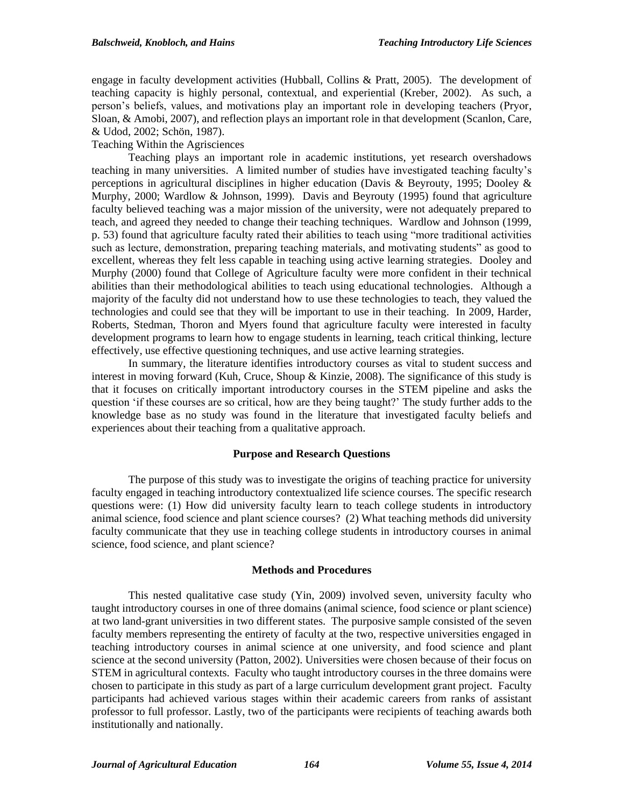engage in faculty development activities (Hubball, Collins & Pratt, 2005). The development of teaching capacity is highly personal, contextual, and experiential (Kreber, 2002). As such, a person's beliefs, values, and motivations play an important role in developing teachers (Pryor, Sloan, & Amobi, 2007), and reflection plays an important role in that development (Scanlon, Care, & Udod, 2002; Schön, 1987).

# Teaching Within the Agrisciences

Teaching plays an important role in academic institutions, yet research overshadows teaching in many universities. A limited number of studies have investigated teaching faculty's perceptions in agricultural disciplines in higher education (Davis & Beyrouty, 1995; Dooley & Murphy, 2000; Wardlow & Johnson, 1999). Davis and Beyrouty (1995) found that agriculture faculty believed teaching was a major mission of the university, were not adequately prepared to teach, and agreed they needed to change their teaching techniques. Wardlow and Johnson (1999, p. 53) found that agriculture faculty rated their abilities to teach using "more traditional activities such as lecture, demonstration, preparing teaching materials, and motivating students" as good to excellent, whereas they felt less capable in teaching using active learning strategies. Dooley and Murphy (2000) found that College of Agriculture faculty were more confident in their technical abilities than their methodological abilities to teach using educational technologies. Although a majority of the faculty did not understand how to use these technologies to teach, they valued the technologies and could see that they will be important to use in their teaching. In 2009, Harder, Roberts, Stedman, Thoron and Myers found that agriculture faculty were interested in faculty development programs to learn how to engage students in learning, teach critical thinking, lecture effectively, use effective questioning techniques, and use active learning strategies.

In summary, the literature identifies introductory courses as vital to student success and interest in moving forward (Kuh, Cruce, Shoup  $\&$  Kinzie, 2008). The significance of this study is that it focuses on critically important introductory courses in the STEM pipeline and asks the question 'if these courses are so critical, how are they being taught?' The study further adds to the knowledge base as no study was found in the literature that investigated faculty beliefs and experiences about their teaching from a qualitative approach.

# **Purpose and Research Questions**

The purpose of this study was to investigate the origins of teaching practice for university faculty engaged in teaching introductory contextualized life science courses. The specific research questions were: (1) How did university faculty learn to teach college students in introductory animal science, food science and plant science courses? (2) What teaching methods did university faculty communicate that they use in teaching college students in introductory courses in animal science, food science, and plant science?

#### **Methods and Procedures**

This nested qualitative case study (Yin, 2009) involved seven, university faculty who taught introductory courses in one of three domains (animal science, food science or plant science) at two land-grant universities in two different states. The purposive sample consisted of the seven faculty members representing the entirety of faculty at the two, respective universities engaged in teaching introductory courses in animal science at one university, and food science and plant science at the second university (Patton, 2002). Universities were chosen because of their focus on STEM in agricultural contexts. Faculty who taught introductory courses in the three domains were chosen to participate in this study as part of a large curriculum development grant project. Faculty participants had achieved various stages within their academic careers from ranks of assistant professor to full professor. Lastly, two of the participants were recipients of teaching awards both institutionally and nationally.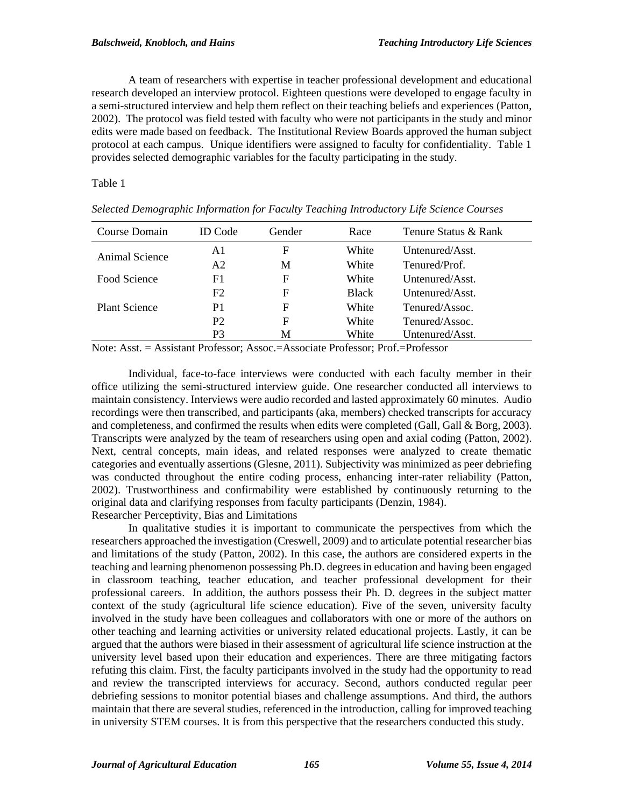A team of researchers with expertise in teacher professional development and educational research developed an interview protocol. Eighteen questions were developed to engage faculty in a semi-structured interview and help them reflect on their teaching beliefs and experiences (Patton, 2002). The protocol was field tested with faculty who were not participants in the study and minor edits were made based on feedback. The Institutional Review Boards approved the human subject protocol at each campus. Unique identifiers were assigned to faculty for confidentiality. Table 1 provides selected demographic variables for the faculty participating in the study.

Table 1

| Course Domain                   | <b>ID</b> Code                       | Gender | Race                         | Tenure Status & Rank        |  |
|---------------------------------|--------------------------------------|--------|------------------------------|-----------------------------|--|
| Animal Science                  | A1                                   | F      | White                        | Untenured/Asst.             |  |
|                                 | A2                                   | М      | White                        | Tenured/Prof.               |  |
| Food Science                    | F1                                   | F      | White                        | Untenured/Asst.             |  |
|                                 | F2                                   | F      | <b>Black</b>                 | Untenured/Asst.             |  |
| <b>Plant Science</b>            | P <sub>1</sub>                       | F      | White                        | Tenured/Assoc.              |  |
|                                 | P <sub>2</sub>                       | F      | White                        | Tenured/Assoc.              |  |
|                                 | P3                                   | М      | White                        | Untenured/Asst.             |  |
| <b>XT . A</b><br>$\blacksquare$ | $\cdot$ $\cdot$ $\sim$ $\sim$ $\sim$ |        | $\cdot$ $\sim$ $\sim$ $\sim$ | $\mathbf{r}$ c $\mathbf{r}$ |  |

*Selected Demographic Information for Faculty Teaching Introductory Life Science Courses*

Note: Asst. = Assistant Professor; Assoc.=Associate Professor; Prof.=Professor

Individual, face-to-face interviews were conducted with each faculty member in their office utilizing the semi-structured interview guide. One researcher conducted all interviews to maintain consistency. Interviews were audio recorded and lasted approximately 60 minutes. Audio recordings were then transcribed, and participants (aka, members) checked transcripts for accuracy and completeness, and confirmed the results when edits were completed (Gall, Gall & Borg, 2003). Transcripts were analyzed by the team of researchers using open and axial coding (Patton, 2002). Next, central concepts, main ideas, and related responses were analyzed to create thematic categories and eventually assertions (Glesne, 2011). Subjectivity was minimized as peer debriefing was conducted throughout the entire coding process, enhancing inter-rater reliability (Patton, 2002). Trustworthiness and confirmability were established by continuously returning to the original data and clarifying responses from faculty participants (Denzin, 1984). Researcher Perceptivity, Bias and Limitations

In qualitative studies it is important to communicate the perspectives from which the researchers approached the investigation (Creswell, 2009) and to articulate potential researcher bias and limitations of the study (Patton, 2002). In this case, the authors are considered experts in the teaching and learning phenomenon possessing Ph.D. degrees in education and having been engaged in classroom teaching, teacher education, and teacher professional development for their professional careers. In addition, the authors possess their Ph. D. degrees in the subject matter context of the study (agricultural life science education). Five of the seven, university faculty involved in the study have been colleagues and collaborators with one or more of the authors on other teaching and learning activities or university related educational projects. Lastly, it can be argued that the authors were biased in their assessment of agricultural life science instruction at the university level based upon their education and experiences. There are three mitigating factors refuting this claim. First, the faculty participants involved in the study had the opportunity to read and review the transcripted interviews for accuracy. Second, authors conducted regular peer debriefing sessions to monitor potential biases and challenge assumptions. And third, the authors maintain that there are several studies, referenced in the introduction, calling for improved teaching in university STEM courses. It is from this perspective that the researchers conducted this study.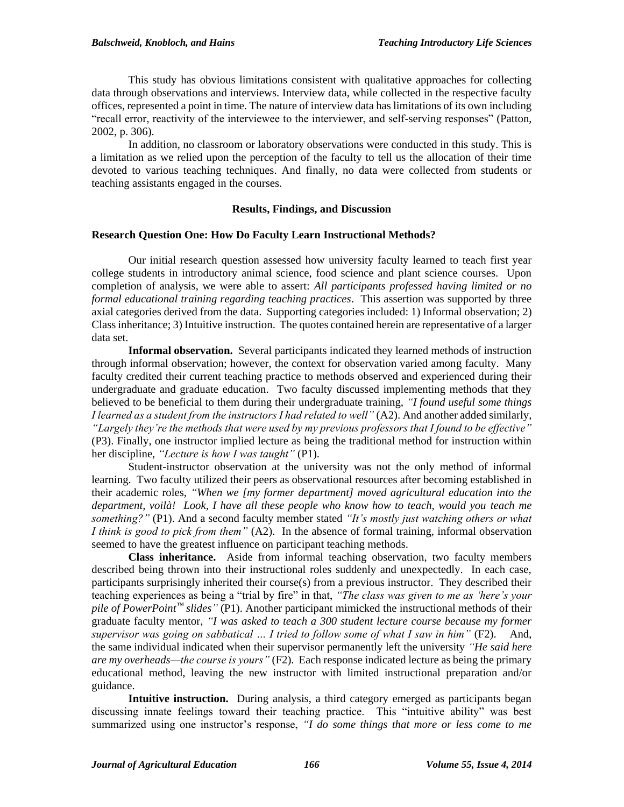This study has obvious limitations consistent with qualitative approaches for collecting data through observations and interviews. Interview data, while collected in the respective faculty offices, represented a point in time. The nature of interview data has limitations of its own including "recall error, reactivity of the interviewee to the interviewer, and self-serving responses" (Patton, 2002, p. 306).

In addition, no classroom or laboratory observations were conducted in this study. This is a limitation as we relied upon the perception of the faculty to tell us the allocation of their time devoted to various teaching techniques. And finally, no data were collected from students or teaching assistants engaged in the courses.

#### **Results, Findings, and Discussion**

# **Research Question One: How Do Faculty Learn Instructional Methods?**

Our initial research question assessed how university faculty learned to teach first year college students in introductory animal science, food science and plant science courses. Upon completion of analysis, we were able to assert: *All participants professed having limited or no formal educational training regarding teaching practices*. This assertion was supported by three axial categories derived from the data. Supporting categories included: 1) Informal observation; 2) Class inheritance; 3) Intuitive instruction. The quotes contained herein are representative of a larger data set.

**Informal observation.** Several participants indicated they learned methods of instruction through informal observation; however, the context for observation varied among faculty. Many faculty credited their current teaching practice to methods observed and experienced during their undergraduate and graduate education. Two faculty discussed implementing methods that they believed to be beneficial to them during their undergraduate training, *"I found useful some things I learned as a student from the instructors I had related to well"* (A2). And another added similarly, *"Largely they're the methods that were used by my previous professors that I found to be effective"* (P3). Finally, one instructor implied lecture as being the traditional method for instruction within her discipline, *"Lecture is how I was taught"* (P1).

Student-instructor observation at the university was not the only method of informal learning. Two faculty utilized their peers as observational resources after becoming established in their academic roles, *"When we [my former department] moved agricultural education into the department, voilà! Look, I have all these people who know how to teach, would you teach me something?"* (P1). And a second faculty member stated *"It's mostly just watching others or what I think is good to pick from them"* (A2). In the absence of formal training, informal observation seemed to have the greatest influence on participant teaching methods.

**Class inheritance.** Aside from informal teaching observation, two faculty members described being thrown into their instructional roles suddenly and unexpectedly. In each case, participants surprisingly inherited their course(s) from a previous instructor. They described their teaching experiences as being a "trial by fire" in that, *"The class was given to me as 'here's your pile of PowerPoint™ slides"* (P1). Another participant mimicked the instructional methods of their graduate faculty mentor, *"I was asked to teach a 300 student lecture course because my former supervisor was going on sabbatical … I tried to follow some of what I saw in him"* (F2). And, the same individual indicated when their supervisor permanently left the university *"He said here are my overheads—the course is yours"* (F2). Each response indicated lecture as being the primary educational method, leaving the new instructor with limited instructional preparation and/or guidance.

**Intuitive instruction.** During analysis, a third category emerged as participants began discussing innate feelings toward their teaching practice. This "intuitive ability" was best summarized using one instructor's response, *"I do some things that more or less come to me*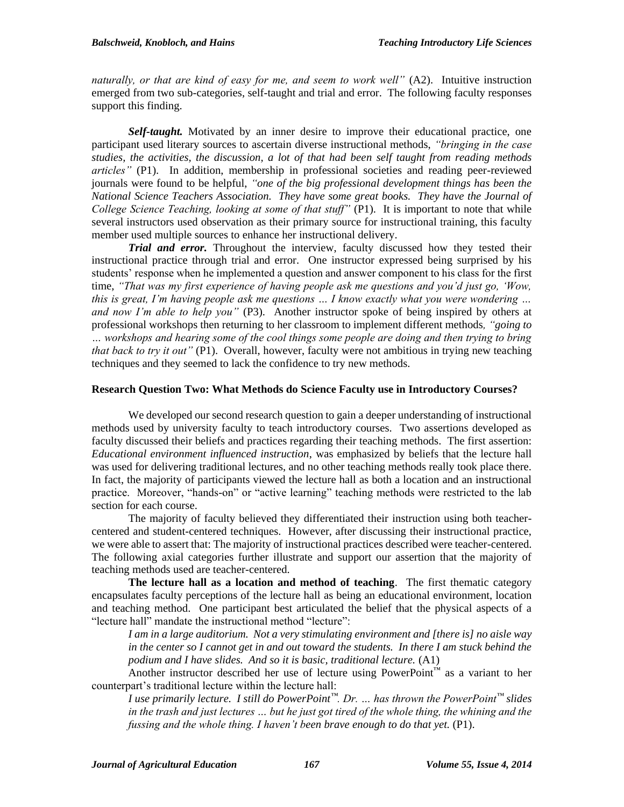*naturally, or that are kind of easy for me, and seem to work well"* (A2). Intuitive instruction emerged from two sub-categories, self-taught and trial and error. The following faculty responses support this finding.

*Self-taught.* Motivated by an inner desire to improve their educational practice, one participant used literary sources to ascertain diverse instructional methods, *"bringing in the case studies, the activities, the discussion, a lot of that had been self taught from reading methods articles"* (P1). In addition, membership in professional societies and reading peer-reviewed journals were found to be helpful, *"one of the big professional development things has been the National Science Teachers Association. They have some great books. They have the Journal of College Science Teaching, looking at some of that stuff"* (P1). It is important to note that while several instructors used observation as their primary source for instructional training, this faculty member used multiple sources to enhance her instructional delivery.

*Trial and error.* Throughout the interview, faculty discussed how they tested their instructional practice through trial and error. One instructor expressed being surprised by his students' response when he implemented a question and answer component to his class for the first time, *"That was my first experience of having people ask me questions and you'd just go, 'Wow, this is great, I'm having people ask me questions … I know exactly what you were wondering … and now I'm able to help you"* (P3). Another instructor spoke of being inspired by others at professional workshops then returning to her classroom to implement different methods*, "going to … workshops and hearing some of the cool things some people are doing and then trying to bring that back to try it out"* (P1). Overall, however, faculty were not ambitious in trying new teaching techniques and they seemed to lack the confidence to try new methods.

# **Research Question Two: What Methods do Science Faculty use in Introductory Courses?**

We developed our second research question to gain a deeper understanding of instructional methods used by university faculty to teach introductory courses. Two assertions developed as faculty discussed their beliefs and practices regarding their teaching methods. The first assertion: *Educational environment influenced instruction*, was emphasized by beliefs that the lecture hall was used for delivering traditional lectures, and no other teaching methods really took place there. In fact, the majority of participants viewed the lecture hall as both a location and an instructional practice. Moreover, "hands-on" or "active learning" teaching methods were restricted to the lab section for each course.

The majority of faculty believed they differentiated their instruction using both teachercentered and student-centered techniques. However, after discussing their instructional practice, we were able to assert that: The majority of instructional practices described were teacher-centered. The following axial categories further illustrate and support our assertion that the majority of teaching methods used are teacher-centered.

**The lecture hall as a location and method of teaching**. The first thematic category encapsulates faculty perceptions of the lecture hall as being an educational environment, location and teaching method. One participant best articulated the belief that the physical aspects of a "lecture hall" mandate the instructional method "lecture":

*I am in a large auditorium. Not a very stimulating environment and [there is] no aisle way in the center so I cannot get in and out toward the students. In there I am stuck behind the podium and I have slides. And so it is basic, traditional lecture.* (A1)

Another instructor described her use of lecture using PowerPoint™ as a variant to her counterpart's traditional lecture within the lecture hall:

*I use primarily lecture. I still do PowerPoint™. Dr. … has thrown the PowerPoint™ slides in the trash and just lectures … but he just got tired of the whole thing, the whining and the fussing and the whole thing. I haven't been brave enough to do that yet.* (P1).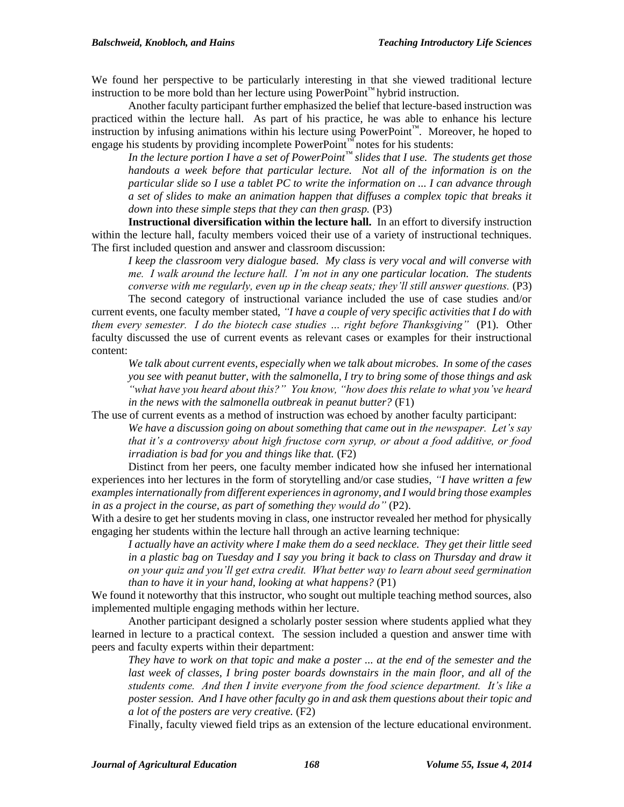We found her perspective to be particularly interesting in that she viewed traditional lecture instruction to be more bold than her lecture using PowerPoint™ hybrid instruction.

Another faculty participant further emphasized the belief that lecture-based instruction was practiced within the lecture hall. As part of his practice, he was able to enhance his lecture instruction by infusing animations within his lecture using PowerPoint™. Moreover, he hoped to engage his students by providing incomplete PowerPoint<sup>™</sup> notes for his students:

*In the lecture portion I have a set of PowerPoint™ slides that I use. The students get those handouts a week before that particular lecture. Not all of the information is on the particular slide so I use a tablet PC to write the information on ... I can advance through a set of slides to make an animation happen that diffuses a complex topic that breaks it down into these simple steps that they can then grasp.* (P3)

**Instructional diversification within the lecture hall.** In an effort to diversify instruction within the lecture hall, faculty members voiced their use of a variety of instructional techniques. The first included question and answer and classroom discussion:

*I keep the classroom very dialogue based. My class is very vocal and will converse with me. I walk around the lecture hall. I'm not in any one particular location. The students converse with me regularly, even up in the cheap seats; they'll still answer questions.* (P3)

The second category of instructional variance included the use of case studies and/or current events, one faculty member stated, *"I have a couple of very specific activities that I do with them every semester. I do the biotech case studies … right before Thanksgiving"* (P1). Other faculty discussed the use of current events as relevant cases or examples for their instructional content:

*We talk about current events, especially when we talk about microbes. In some of the cases you see with peanut butter, with the salmonella, I try to bring some of those things and ask "what have you heard about this?" You know, "how does this relate to what you've heard in the news with the salmonella outbreak in peanut butter?* (F1)

The use of current events as a method of instruction was echoed by another faculty participant:

*We have a discussion going on about something that came out in the newspaper. Let's say that it's a controversy about high fructose corn syrup, or about a food additive, or food irradiation is bad for you and things like that.* (F2)

Distinct from her peers, one faculty member indicated how she infused her international experiences into her lectures in the form of storytelling and/or case studies, *"I have written a few examples internationally from different experiences in agronomy, and I would bring those examples in as a project in the course, as part of something they would do"* (P2).

With a desire to get her students moving in class, one instructor revealed her method for physically engaging her students within the lecture hall through an active learning technique:

*I actually have an activity where I make them do a seed necklace. They get their little seed in a plastic bag on Tuesday and I say you bring it back to class on Thursday and draw it on your quiz and you'll get extra credit. What better way to learn about seed germination than to have it in your hand, looking at what happens?* (P1)

We found it noteworthy that this instructor, who sought out multiple teaching method sources, also implemented multiple engaging methods within her lecture.

Another participant designed a scholarly poster session where students applied what they learned in lecture to a practical context. The session included a question and answer time with peers and faculty experts within their department:

*They have to work on that topic and make a poster ... at the end of the semester and the* last week of classes, I bring poster boards downstairs in the main floor, and all of the *students come. And then I invite everyone from the food science department. It's like a poster session. And I have other faculty go in and ask them questions about their topic and a lot of the posters are very creative.* (F2)

Finally, faculty viewed field trips as an extension of the lecture educational environment.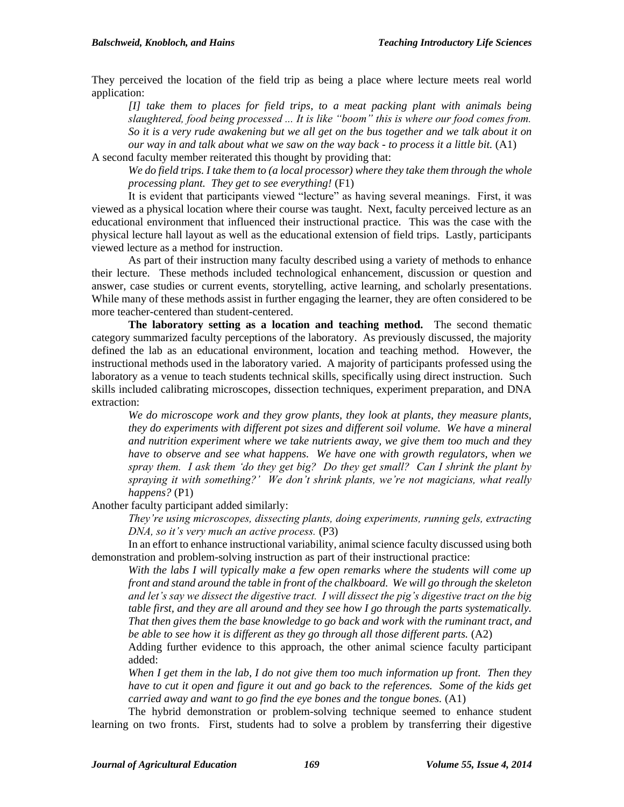They perceived the location of the field trip as being a place where lecture meets real world application:

*[I] take them to places for field trips, to a meat packing plant with animals being slaughtered, food being processed ... It is like "boom" this is where our food comes from. So it is a very rude awakening but we all get on the bus together and we talk about it on our way in and talk about what we saw on the way back - to process it a little bit.* (A1)

A second faculty member reiterated this thought by providing that:

*We do field trips. I take them to (a local processor) where they take them through the whole processing plant. They get to see everything!* (F1)

It is evident that participants viewed "lecture" as having several meanings. First, it was viewed as a physical location where their course was taught. Next, faculty perceived lecture as an educational environment that influenced their instructional practice. This was the case with the physical lecture hall layout as well as the educational extension of field trips. Lastly, participants viewed lecture as a method for instruction.

As part of their instruction many faculty described using a variety of methods to enhance their lecture. These methods included technological enhancement, discussion or question and answer, case studies or current events, storytelling, active learning, and scholarly presentations. While many of these methods assist in further engaging the learner, they are often considered to be more teacher-centered than student-centered.

**The laboratory setting as a location and teaching method.** The second thematic category summarized faculty perceptions of the laboratory. As previously discussed, the majority defined the lab as an educational environment, location and teaching method. However, the instructional methods used in the laboratory varied. A majority of participants professed using the laboratory as a venue to teach students technical skills, specifically using direct instruction. Such skills included calibrating microscopes, dissection techniques, experiment preparation, and DNA extraction:

*We do microscope work and they grow plants, they look at plants, they measure plants, they do experiments with different pot sizes and different soil volume. We have a mineral and nutrition experiment where we take nutrients away, we give them too much and they have to observe and see what happens. We have one with growth regulators, when we spray them. I ask them 'do they get big? Do they get small? Can I shrink the plant by spraying it with something?' We don't shrink plants, we're not magicians, what really happens?* (P1)

Another faculty participant added similarly:

*They're using microscopes, dissecting plants, doing experiments, running gels, extracting DNA, so it's very much an active process.* (P3)

In an effort to enhance instructional variability, animal science faculty discussed using both demonstration and problem-solving instruction as part of their instructional practice:

*With the labs I will typically make a few open remarks where the students will come up front and stand around the table in front of the chalkboard. We will go through the skeleton and let's say we dissect the digestive tract. I will dissect the pig's digestive tract on the big table first, and they are all around and they see how I go through the parts systematically. That then gives them the base knowledge to go back and work with the ruminant tract, and be able to see how it is different as they go through all those different parts.* (A2)

Adding further evidence to this approach, the other animal science faculty participant added:

*When I get them in the lab, I do not give them too much information up front. Then they have to cut it open and figure it out and go back to the references. Some of the kids get carried away and want to go find the eye bones and the tongue bones.* (A1)

The hybrid demonstration or problem-solving technique seemed to enhance student learning on two fronts. First, students had to solve a problem by transferring their digestive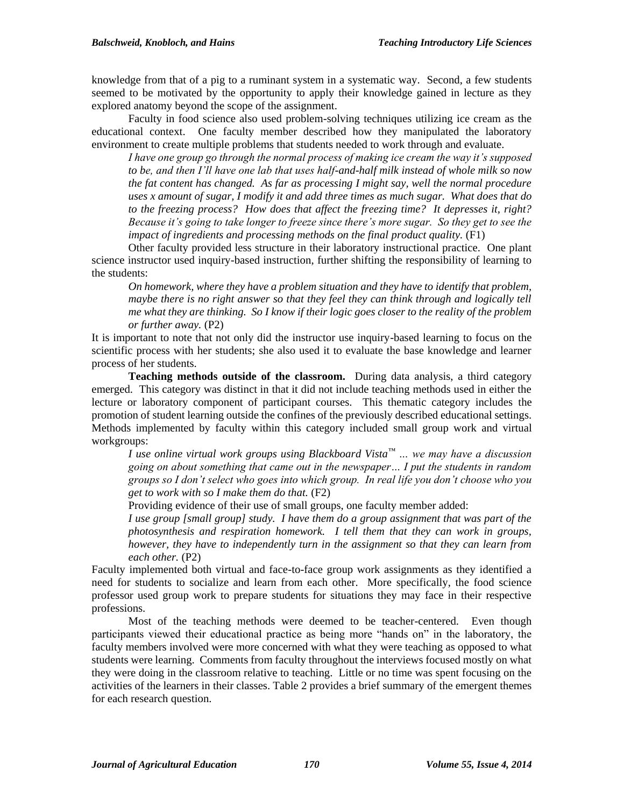knowledge from that of a pig to a ruminant system in a systematic way. Second, a few students seemed to be motivated by the opportunity to apply their knowledge gained in lecture as they explored anatomy beyond the scope of the assignment.

Faculty in food science also used problem-solving techniques utilizing ice cream as the educational context. One faculty member described how they manipulated the laboratory environment to create multiple problems that students needed to work through and evaluate.

*I have one group go through the normal process of making ice cream the way it's supposed to be, and then I'll have one lab that uses half-and-half milk instead of whole milk so now the fat content has changed. As far as processing I might say, well the normal procedure uses x amount of sugar, I modify it and add three times as much sugar. What does that do to the freezing process? How does that affect the freezing time? It depresses it, right? Because it's going to take longer to freeze since there's more sugar. So they get to see the impact of ingredients and processing methods on the final product quality.* (F1)

Other faculty provided less structure in their laboratory instructional practice. One plant science instructor used inquiry-based instruction, further shifting the responsibility of learning to the students:

*On homework, where they have a problem situation and they have to identify that problem, maybe there is no right answer so that they feel they can think through and logically tell me what they are thinking. So I know if their logic goes closer to the reality of the problem or further away.* (P2)

It is important to note that not only did the instructor use inquiry-based learning to focus on the scientific process with her students; she also used it to evaluate the base knowledge and learner process of her students.

**Teaching methods outside of the classroom.** During data analysis, a third category emerged. This category was distinct in that it did not include teaching methods used in either the lecture or laboratory component of participant courses. This thematic category includes the promotion of student learning outside the confines of the previously described educational settings. Methods implemented by faculty within this category included small group work and virtual workgroups:

*I use online virtual work groups using Blackboard Vista™ … we may have a discussion going on about something that came out in the newspaper… I put the students in random groups so I don't select who goes into which group. In real life you don't choose who you get to work with so I make them do that.* (F2)

Providing evidence of their use of small groups, one faculty member added:

*I use group [small group] study. I have them do a group assignment that was part of the photosynthesis and respiration homework. I tell them that they can work in groups, however, they have to independently turn in the assignment so that they can learn from each other.* (P2)

Faculty implemented both virtual and face-to-face group work assignments as they identified a need for students to socialize and learn from each other. More specifically, the food science professor used group work to prepare students for situations they may face in their respective professions.

Most of the teaching methods were deemed to be teacher-centered. Even though participants viewed their educational practice as being more "hands on" in the laboratory, the faculty members involved were more concerned with what they were teaching as opposed to what students were learning. Comments from faculty throughout the interviews focused mostly on what they were doing in the classroom relative to teaching. Little or no time was spent focusing on the activities of the learners in their classes. Table 2 provides a brief summary of the emergent themes for each research question.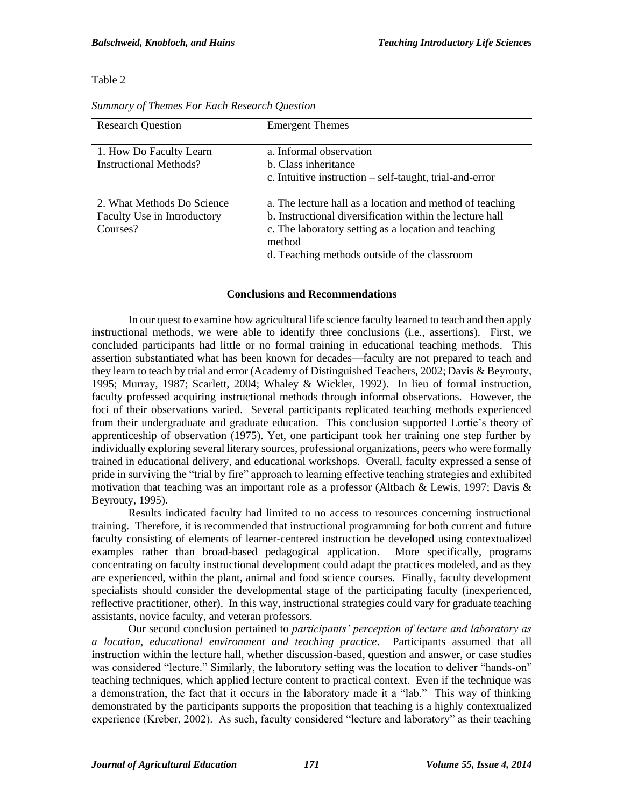## Table 2

| <b>Research Question</b>                                              | <b>Emergent Themes</b>                                                                                                                                                                                                                 |
|-----------------------------------------------------------------------|----------------------------------------------------------------------------------------------------------------------------------------------------------------------------------------------------------------------------------------|
| 1. How Do Faculty Learn<br><b>Instructional Methods?</b>              | a. Informal observation<br><b>b.</b> Class inheritance<br>c. Intuitive instruction $-$ self-taught, trial-and-error                                                                                                                    |
| 2. What Methods Do Science<br>Faculty Use in Introductory<br>Courses? | a. The lecture hall as a location and method of teaching<br>b. Instructional diversification within the lecture hall<br>c. The laboratory setting as a location and teaching<br>method<br>d. Teaching methods outside of the classroom |

*Summary of Themes For Each Research Question*

# **Conclusions and Recommendations**

In our quest to examine how agricultural life science faculty learned to teach and then apply instructional methods, we were able to identify three conclusions (i.e., assertions). First, we concluded participants had little or no formal training in educational teaching methods. This assertion substantiated what has been known for decades—faculty are not prepared to teach and they learn to teach by trial and error (Academy of Distinguished Teachers, 2002; Davis & Beyrouty, 1995; Murray, 1987; Scarlett, 2004; Whaley & Wickler, 1992). In lieu of formal instruction, faculty professed acquiring instructional methods through informal observations. However, the foci of their observations varied. Several participants replicated teaching methods experienced from their undergraduate and graduate education. This conclusion supported Lortie's theory of apprenticeship of observation (1975). Yet, one participant took her training one step further by individually exploring several literary sources, professional organizations, peers who were formally trained in educational delivery, and educational workshops. Overall, faculty expressed a sense of pride in surviving the "trial by fire" approach to learning effective teaching strategies and exhibited motivation that teaching was an important role as a professor (Altbach & Lewis, 1997; Davis & Beyrouty, 1995).

Results indicated faculty had limited to no access to resources concerning instructional training. Therefore, it is recommended that instructional programming for both current and future faculty consisting of elements of learner-centered instruction be developed using contextualized examples rather than broad-based pedagogical application. More specifically, programs concentrating on faculty instructional development could adapt the practices modeled, and as they are experienced, within the plant, animal and food science courses. Finally, faculty development specialists should consider the developmental stage of the participating faculty (inexperienced, reflective practitioner, other). In this way, instructional strategies could vary for graduate teaching assistants, novice faculty, and veteran professors.

Our second conclusion pertained to *participants' perception of lecture and laboratory as a location, educational environment and teaching practice*. Participants assumed that all instruction within the lecture hall, whether discussion-based, question and answer, or case studies was considered "lecture." Similarly, the laboratory setting was the location to deliver "hands-on" teaching techniques, which applied lecture content to practical context. Even if the technique was a demonstration, the fact that it occurs in the laboratory made it a "lab." This way of thinking demonstrated by the participants supports the proposition that teaching is a highly contextualized experience (Kreber, 2002). As such, faculty considered "lecture and laboratory" as their teaching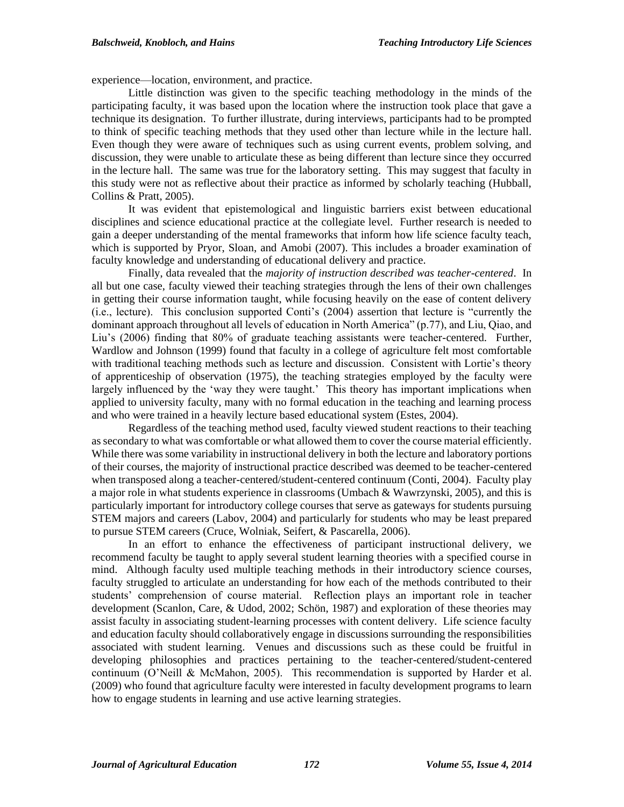experience—location, environment, and practice.

Little distinction was given to the specific teaching methodology in the minds of the participating faculty, it was based upon the location where the instruction took place that gave a technique its designation. To further illustrate, during interviews, participants had to be prompted to think of specific teaching methods that they used other than lecture while in the lecture hall. Even though they were aware of techniques such as using current events, problem solving, and discussion, they were unable to articulate these as being different than lecture since they occurred in the lecture hall. The same was true for the laboratory setting. This may suggest that faculty in this study were not as reflective about their practice as informed by scholarly teaching (Hubball, Collins & Pratt, 2005).

It was evident that epistemological and linguistic barriers exist between educational disciplines and science educational practice at the collegiate level. Further research is needed to gain a deeper understanding of the mental frameworks that inform how life science faculty teach, which is supported by Pryor, Sloan, and Amobi (2007). This includes a broader examination of faculty knowledge and understanding of educational delivery and practice.

Finally, data revealed that the *majority of instruction described was teacher-centered*. In all but one case, faculty viewed their teaching strategies through the lens of their own challenges in getting their course information taught, while focusing heavily on the ease of content delivery (i.e., lecture). This conclusion supported Conti's (2004) assertion that lecture is "currently the dominant approach throughout all levels of education in North America" (p.77), and Liu, Qiao, and Liu's (2006) finding that 80% of graduate teaching assistants were teacher-centered. Further, Wardlow and Johnson (1999) found that faculty in a college of agriculture felt most comfortable with traditional teaching methods such as lecture and discussion. Consistent with Lortie's theory of apprenticeship of observation (1975), the teaching strategies employed by the faculty were largely influenced by the 'way they were taught.' This theory has important implications when applied to university faculty, many with no formal education in the teaching and learning process and who were trained in a heavily lecture based educational system (Estes, 2004).

Regardless of the teaching method used, faculty viewed student reactions to their teaching as secondary to what was comfortable or what allowed them to cover the course material efficiently. While there was some variability in instructional delivery in both the lecture and laboratory portions of their courses, the majority of instructional practice described was deemed to be teacher-centered when transposed along a teacher-centered/student-centered continuum (Conti, 2004). Faculty play a major role in what students experience in classrooms (Umbach & Wawrzynski, 2005), and this is particularly important for introductory college courses that serve as gateways for students pursuing STEM majors and careers (Labov, 2004) and particularly for students who may be least prepared to pursue STEM careers (Cruce, Wolniak, Seifert, & Pascarella, 2006).

In an effort to enhance the effectiveness of participant instructional delivery, we recommend faculty be taught to apply several student learning theories with a specified course in mind. Although faculty used multiple teaching methods in their introductory science courses, faculty struggled to articulate an understanding for how each of the methods contributed to their students' comprehension of course material. Reflection plays an important role in teacher development (Scanlon, Care, & Udod, 2002; Schön, 1987) and exploration of these theories may assist faculty in associating student-learning processes with content delivery. Life science faculty and education faculty should collaboratively engage in discussions surrounding the responsibilities associated with student learning. Venues and discussions such as these could be fruitful in developing philosophies and practices pertaining to the teacher-centered/student-centered continuum (O'Neill & McMahon, 2005). This recommendation is supported by Harder et al. (2009) who found that agriculture faculty were interested in faculty development programs to learn how to engage students in learning and use active learning strategies.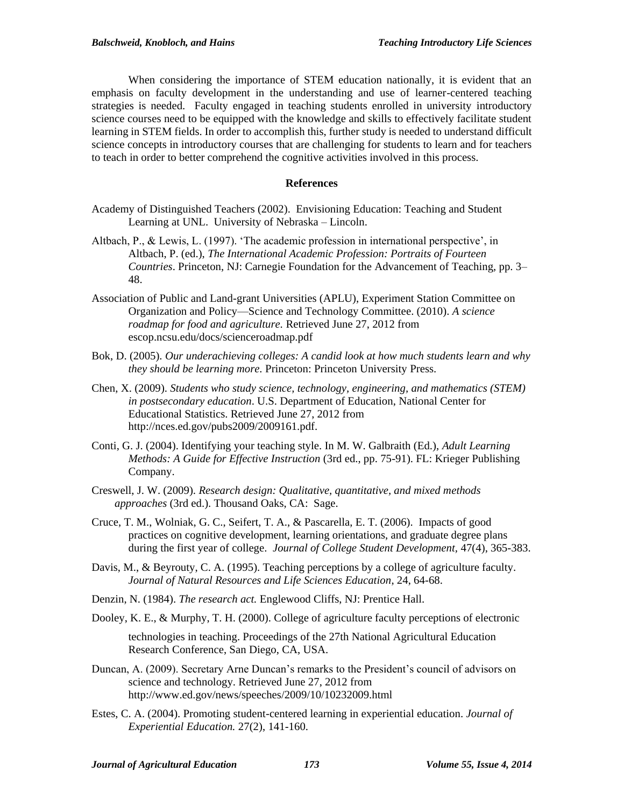When considering the importance of STEM education nationally, it is evident that an emphasis on faculty development in the understanding and use of learner-centered teaching strategies is needed. Faculty engaged in teaching students enrolled in university introductory science courses need to be equipped with the knowledge and skills to effectively facilitate student learning in STEM fields. In order to accomplish this, further study is needed to understand difficult science concepts in introductory courses that are challenging for students to learn and for teachers to teach in order to better comprehend the cognitive activities involved in this process.

#### **References**

- Academy of Distinguished Teachers (2002). Envisioning Education: Teaching and Student Learning at UNL. University of Nebraska – Lincoln.
- Altbach, P., & Lewis, L. (1997). 'The academic profession in international perspective', in Altbach, P. (ed.), *The International Academic Profession: Portraits of Fourteen Countries*. Princeton, NJ: Carnegie Foundation for the Advancement of Teaching, pp. 3– 48.
- Association of Public and Land-grant Universities (APLU), Experiment Station Committee on Organization and Policy—Science and Technology Committee. (2010). *A science roadmap for food and agriculture.* Retrieved June 27, 2012 from escop.ncsu.edu/docs/scienceroadmap.pdf
- Bok, D. (2005). *Our underachieving colleges: A candid look at how much students learn and why they should be learning more.* Princeton: Princeton University Press.
- Chen, X. (2009). *Students who study science, technology, engineering, and mathematics (STEM) in postsecondary education*. U.S. Department of Education, National Center for Educational Statistics. Retrieved June 27, 2012 from http://nces.ed.gov/pubs2009/2009161.pdf.
- Conti, G. J. (2004). Identifying your teaching style. In M. W. Galbraith (Ed.), *Adult Learning Methods: A Guide for Effective Instruction* (3rd ed., pp. 75-91). FL: Krieger Publishing Company.
- Creswell, J. W. (2009). *Research design: Qualitative, quantitative, and mixed methods approaches* (3rd ed.). Thousand Oaks, CA: Sage.
- Cruce, T. M., Wolniak, G. C., Seifert, T. A., & Pascarella, E. T. (2006). Impacts of good practices on cognitive development, learning orientations, and graduate degree plans during the first year of college. *Journal of College Student Development,* 47(4), 365-383.
- Davis, M., & Beyrouty, C. A. (1995). Teaching perceptions by a college of agriculture faculty. *Journal of Natural Resources and Life Sciences Education*, 24, 64-68.
- Denzin, N. (1984). *The research act.* Englewood Cliffs, NJ: Prentice Hall.
- Dooley, K. E., & Murphy, T. H. (2000). College of agriculture faculty perceptions of electronic technologies in teaching. Proceedings of the 27th National Agricultural Education Research Conference, San Diego, CA, USA.
- Duncan, A. (2009). Secretary Arne Duncan's remarks to the President's council of advisors on science and technology. Retrieved June 27, 2012 from http://www.ed.gov/news/speeches/2009/10/10232009.html
- Estes, C. A. (2004). Promoting student-centered learning in experiential education. *Journal of Experiential Education.* 27(2), 141-160.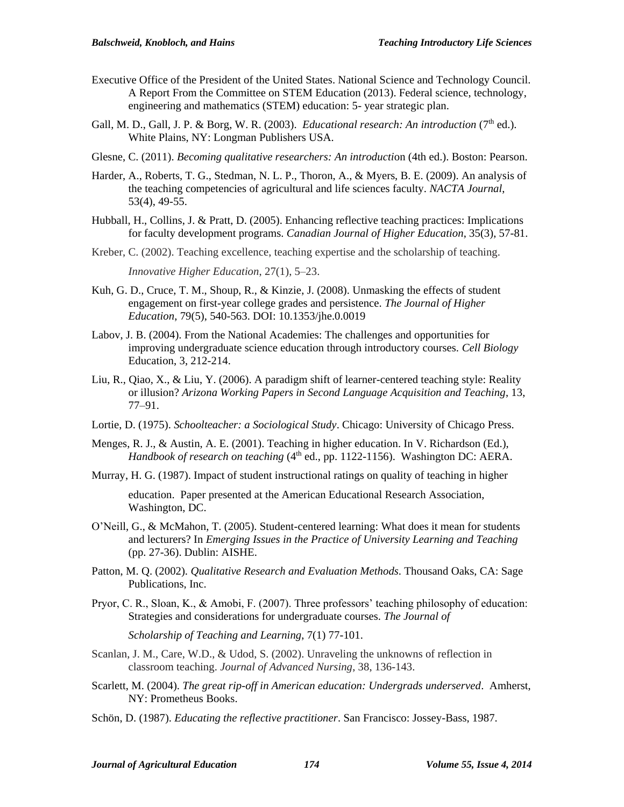- Executive Office of the President of the United States. National Science and Technology Council. A Report From the Committee on STEM Education (2013). Federal science, technology, engineering and mathematics (STEM) education: 5- year strategic plan.
- Gall, M. D., Gall, J. P. & Borg, W. R. (2003). *Educational research: An introduction* (7<sup>th</sup> ed.). White Plains, NY: Longman Publishers USA.
- Glesne, C. (2011). *Becoming qualitative researchers: An introduction* (4th ed.). Boston: Pearson.
- Harder, A., Roberts, T. G., Stedman, N. L. P., Thoron, A., & Myers, B. E. (2009). An analysis of the teaching competencies of agricultural and life sciences faculty. *NACTA Journal*, 53(4), 49-55.
- Hubball, H., Collins, J. & Pratt, D. (2005). Enhancing reflective teaching practices: Implications for faculty development programs. *Canadian Journal of Higher Education*, 35(3), 57-81.
- Kreber, C. (2002). Teaching excellence, teaching expertise and the scholarship of teaching. *Innovative Higher Education*, 27(1), 5–23.
- Kuh, G. D., Cruce, T. M., Shoup, R., & Kinzie, J. (2008). Unmasking the effects of student engagement on first-year college grades and persistence. *The Journal of Higher Education*, 79(5), 540-563. DOI: 10.1353/jhe.0.0019
- Labov, J. B. (2004). From the National Academies: The challenges and opportunities for improving undergraduate science education through introductory courses. *Cell Biology* Education, 3, 212-214.
- Liu, R., Qiao, X., & Liu, Y. (2006). A paradigm shift of learner-centered teaching style: Reality or illusion? *Arizona Working Papers in Second Language Acquisition and Teaching*, 13, 77–91.
- Lortie, D. (1975). *Schoolteacher: a Sociological Study*. Chicago: University of Chicago Press.
- Menges, R. J., & Austin, A. E. (2001). Teaching in higher education. In V. Richardson (Ed.), *Handbook of research on teaching* (4<sup>th</sup> ed., pp. 1122-1156). Washington DC: AERA.
- Murray, H. G. (1987). Impact of student instructional ratings on quality of teaching in higher

education. Paper presented at the American Educational Research Association, Washington, DC.

- O'Neill, G., & McMahon, T. (2005). Student-centered learning: What does it mean for students and lecturers? In *Emerging Issues in the Practice of University Learning and Teaching* (pp. 27-36). Dublin: AISHE.
- Patton, M. Q. (2002). *Qualitative Research and Evaluation Methods*. Thousand Oaks, CA: Sage Publications, Inc.
- Pryor, C. R., Sloan, K., & Amobi, F. (2007). Three professors' teaching philosophy of education: Strategies and considerations for undergraduate courses. *The Journal of*

*Scholarship of Teaching and Learning*, 7(1) 77-101.

- Scanlan, J. M., Care, W.D., & Udod, S. (2002). Unraveling the unknowns of reflection in classroom teaching. *Journal of Advanced Nursing*, 38, 136-143.
- Scarlett, M. (2004). *The great rip-off in American education: Undergrads underserved*. Amherst, NY: Prometheus Books.
- Schön, D. (1987). *Educating the reflective practitioner*. San Francisco: Jossey-Bass, 1987.